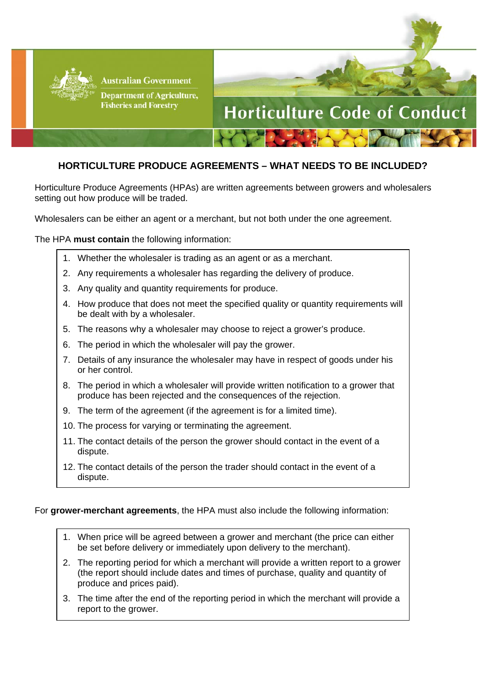

**Australian Government** 

**Department of Agriculture, Fisheries and Forestry** 



## **HORTICULTURE PRODUCE AGREEMENTS – WHAT NEEDS TO BE INCLUDED?**

Horticulture Produce Agreements (HPAs) are written agreements between growers and wholesalers setting out how produce will be traded.

Wholesalers can be either an agent or a merchant, but not both under the one agreement.

The HPA **must contain** the following information:

- 1. Whether the wholesaler is trading as an agent or as a merchant.
- 2. Any requirements a wholesaler has regarding the delivery of produce.
- 3. Any quality and quantity requirements for produce.
- 4. How produce that does not meet the specified quality or quantity requirements will be dealt with by a wholesaler.
- 5. The reasons why a wholesaler may choose to reject a grower's produce.
- 6. The period in which the wholesaler will pay the grower.
- 7. Details of any insurance the wholesaler may have in respect of goods under his or her control.
- 8. The period in which a wholesaler will provide written notification to a grower that produce has been rejected and the consequences of the rejection.
- 9. The term of the agreement (if the agreement is for a limited time).
- 10. The process for varying or terminating the agreement.
- 11. The contact details of the person the grower should contact in the event of a dispute.
- 12. The contact details of the person the trader should contact in the event of a dispute.

## For **grower-merchant agreements**, the HPA must also include the following information:

- 1. When price will be agreed between a grower and merchant (the price can either be set before delivery or immediately upon delivery to the merchant).
- 2. The reporting period for which a merchant will provide a written report to a grower (the report should include dates and times of purchase, quality and quantity of produce and prices paid).
- 3. The time after the end of the reporting period in which the merchant will provide a report to the grower.